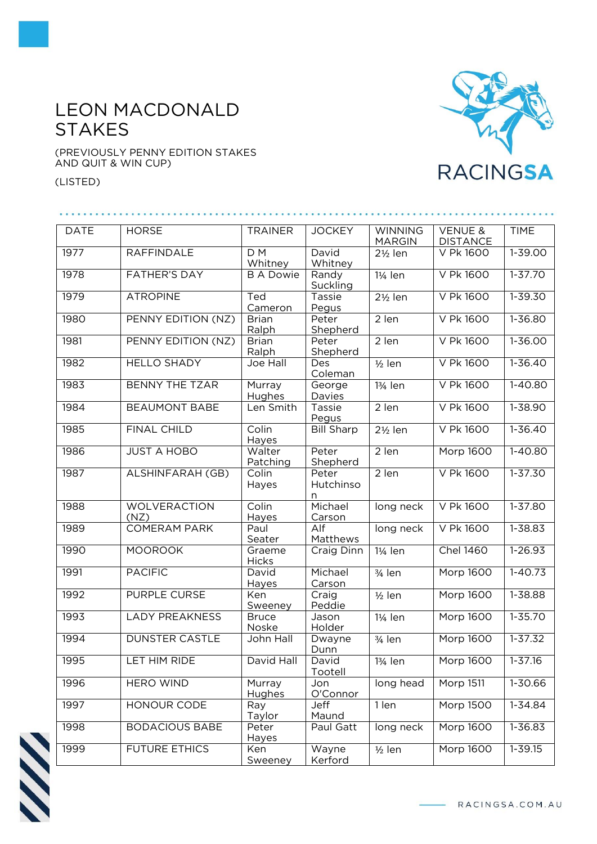## LEON MACDONALD **STAKES**

(PREVIOUSLY PENNY EDITION STAKES AND QUIT & WIN CUP)

(LISTED)



| <b>DATE</b> | <b>HORSE</b>                | <b>TRAINER</b>            | <b>JOCKEY</b>           | <b>WINNING</b><br><b>MARGIN</b> | <b>VENUE &amp;</b><br><b>DISTANCE</b> | <b>TIME</b> |
|-------------|-----------------------------|---------------------------|-------------------------|---------------------------------|---------------------------------------|-------------|
| 1977        | <b>RAFFINDALE</b>           | D <sub>M</sub><br>Whitney | David<br>Whitney        | $2\frac{1}{2}$ len              | V Pk 1600                             | 1-39.00     |
| 1978        | <b>FATHER'S DAY</b>         | <b>B A Dowie</b>          | Randy<br>Suckling       | 11/ <sub>4</sub> len            | V Pk 1600                             | $1 - 37.70$ |
| 1979        | <b>ATROPINE</b>             | Ted<br>Cameron            | Tassie<br>Pegus         | $2\frac{1}{2}$ len              | V Pk 1600                             | $1 - 39.30$ |
| 1980        | PENNY EDITION (NZ)          | <b>Brian</b><br>Ralph     | Peter<br>Shepherd       | 2 len                           | V Pk 1600                             | $1 - 36.80$ |
| 1981        | PENNY EDITION (NZ)          | <b>Brian</b><br>Ralph     | Peter<br>Shepherd       | 2 len                           | V Pk 1600                             | $1 - 36.00$ |
| 1982        | <b>HELLO SHADY</b>          | Joe Hall                  | Des<br>Coleman          | $1/2$ len                       | V Pk 1600                             | $1 - 36.40$ |
| 1983        | <b>BENNY THE TZAR</b>       | Murray<br>Hughes          | George<br>Davies        | 13/ <sub>4</sub> len            | V Pk 1600                             | $1-40.80$   |
| 1984        | <b>BEAUMONT BABE</b>        | Len Smith                 | Tassie<br>Pegus         | $2$ len                         | V Pk 1600                             | $1 - 38.90$ |
| 1985        | <b>FINAL CHILD</b>          | Colin<br>Hayes            | <b>Bill Sharp</b>       | $2\frac{1}{2}$ len              | V Pk 1600                             | $1 - 36.40$ |
| 1986        | <b>JUST A HOBO</b>          | Walter<br>Patching        | Peter<br>Shepherd       | 2 len                           | Morp 1600                             | 1-40.80     |
| 1987        | ALSHINFARAH (GB)            | Colin<br>Hayes            | Peter<br>Hutchinso<br>n | 2 len                           | V Pk 1600                             | $1 - 37.30$ |
| 1988        | <b>WOLVERACTION</b><br>(NZ) | Colin<br>Hayes            | Michael<br>Carson       | long neck                       | V Pk 1600                             | $1 - 37.80$ |
| 1989        | <b>COMERAM PARK</b>         | Paul<br>Seater            | Alf<br>Matthews         | long neck                       | V Pk 1600                             | $1 - 38.83$ |
| 1990        | <b>MOOROOK</b>              | Graeme<br><b>Hicks</b>    | Craig Dinn              | 11/ <sub>4</sub> len            | <b>Chel 1460</b>                      | $1 - 26.93$ |
| 1991        | <b>PACIFIC</b>              | David<br>Hayes            | Michael<br>Carson       | 3/4 len                         | Morp 1600                             | $1-40.73$   |
| 1992        | PURPLE CURSE                | Ken<br>Sweeney            | Craig<br>Peddie         | $1/2$ len                       | Morp 1600                             | $1 - 38.88$ |
| 1993        | <b>LADY PREAKNESS</b>       | <b>Bruce</b><br>Noske     | Jason<br>Holder         | 11/ <sub>4</sub> len            | Morp 1600                             | $1 - 35.70$ |
| 1994        | <b>DUNSTER CASTLE</b>       | John Hall                 | Dwayne<br>Dunn          | $3/4$ len                       | <b>Morp 1600</b>                      | $1 - 37.32$ |
| 1995        | LET HIM RIDE                | David Hall                | David<br>Tootell        | 1¾ len                          | <b>Morp 1600</b>                      | $1 - 37.16$ |
| 1996        | <b>HERO WIND</b>            | Murray<br>Hughes          | Jon<br>O'Connor         | long head                       | Morp 1511                             | 1-30.66     |
| 1997        | HONOUR CODE                 | Ray<br>Taylor             | Jeff<br>Maund           | 1 len                           | Morp 1500                             | 1-34.84     |
| 1998        | <b>BODACIOUS BABE</b>       | Peter<br>Hayes            | Paul Gatt               | long neck                       | <b>Morp 1600</b>                      | 1-36.83     |
| 1999        | <b>FUTURE ETHICS</b>        | Ken<br>Sweeney            | Wayne<br>Kerford        | $1/2$ len                       | Morp 1600                             | $1 - 39.15$ |